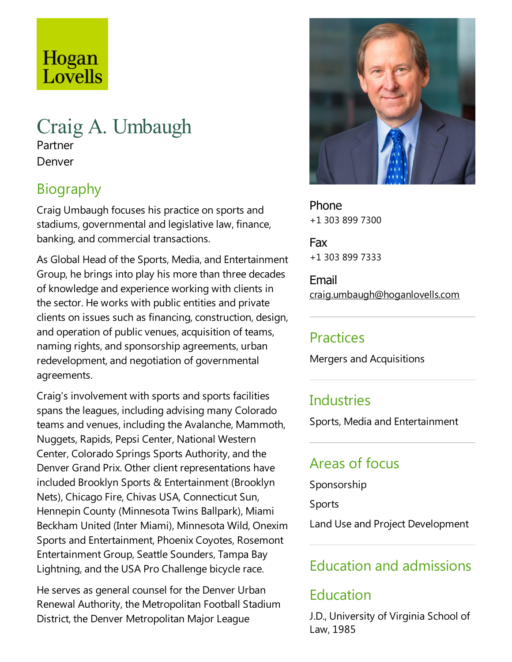# Hogan Lovells

# Craig A. Umbaugh Partner Denver

### Biography

Craig Umbaugh focuses his practice on sports and stadiums, governmental and legislative law, finance, banking, and commercial transactions.

As Global Head of the Sports, Media, and Entertainment Group, he brings into play his more than three decades of knowledge and experience working with clients in the sector. He works with public entities and private clients on issues such as financing, construction, design, and operation of public venues, acquisition of teams, naming rights, and sponsorship agreements, urban redevelopment, and negotiation of governmental agreements.

Craig's involvement with sports and sports facilities spans the leagues, including advising many Colorado teams and venues, including the Avalanche, Mammoth, Nuggets, Rapids, Pepsi Center, National Western Center, Colorado Springs Sports Authority, and the Denver Grand Prix. Other client representations have included Brooklyn Sports & Entertainment (Brooklyn Nets), Chicago Fire, Chivas USA, Connecticut Sun, Hennepin County (Minnesota Twins Ballpark), Miami Beckham United (Inter Miami), Minnesota Wild, Onexim Sports and Entertainment, Phoenix Coyotes, Rosemont Entertainment Group, Seattle Sounders,Tampa Bay Lightning, and the USA Pro Challenge bicycle race.

He serves as general counsel for the Denver Urban Renewal Authority, the Metropolitan Football Stadium District, the Denver Metropolitan Major League



Phone +1 303 899 7300

Fax +1 303 899 7333

Email craig.umbaugh@hoganlovells.com

#### Practices

Mergers and Acquisitions

### **Industries**

Sports, Media and Entertainment

### Areas of focus

Sponsorship

Sports

Land Use and Project Development

### Education and admissions

# Education

J.D., University of Virginia School of Law, 1985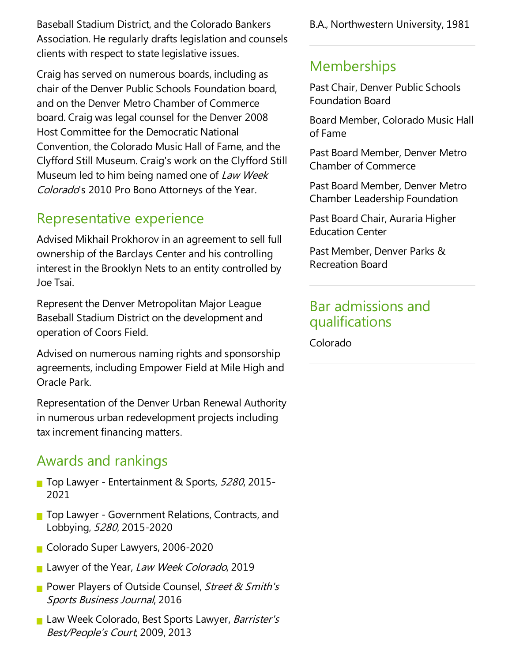Baseball Stadium District, and the Colorado Bankers Association. He regularly drafts legislation and counsels clients with respect to state legislative issues.

Craig has served on numerous boards, including as chair of the Denver Public Schools Foundation board, and on the Denver Metro Chamber of Commerce board. Craig was legal counsel for the Denver 2008 Host Committee for the Democratic National Convention, the Colorado Music Hall of Fame, and the Clyfford Still Museum. Craig's work on the Clyfford Still Museum led to him being named one of Law Week Colorado's 2010 Pro Bono Attorneys of the Year.

#### Representative experience

Advised Mikhail Prokhorov in an agreement to sell full ownership of the Barclays Center and his controlling interest in the Brooklyn Nets to an entity controlled by JoeTsai.

Represent the Denver Metropolitan Major League Baseball Stadium District on the development and operation of Coors Field.

Advised on numerous naming rights and sponsorship agreements, including Empower Field at Mile High and Oracle Park.

Representation of the Denver Urban Renewal Authority in numerous urban redevelopment projects including tax increment financing matters.

#### Awards and rankings

- Top Lawyer Entertainment & Sports, 5280, 2015-2021
- Top Lawyer Government Relations, Contracts, and Lobbying, <sup>5280</sup>, 2015-2020
- Colorado Super Lawyers, 2006-2020
- Lawyer of the Year, Law Week Colorado, 2019
- **P** Power Players of Outside Counsel, Street & Smith's Sports Business Journal, 2016
- Law Week Colorado, Best Sports Lawyer, Barrister's Best/People's Court, 2009, 2013

B.A., Northwestern University, 1981

#### **Memberships**

Past Chair, Denver Public Schools Foundation Board

Board Member, Colorado Music Hall of Fame

Past Board Member, Denver Metro Chamber of Commerce

Past Board Member, Denver Metro Chamber Leadership Foundation

Past Board Chair, Auraria Higher Education Center

Past Member, Denver Parks & Recreation Board

#### Bar admissions and qualifications

Colorado